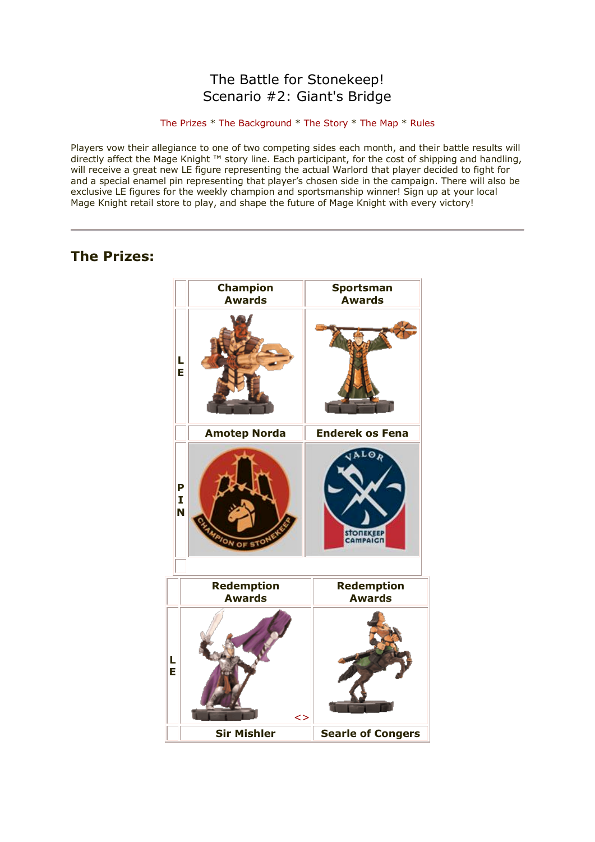## The Battle for Stonekeep! Scenario #2: Giant's Bridge

#### [The Prizes](http://www.wizkidsgames.com/mageknight/article.asp?cid=37090&frame=Talesfromtheland#prizes#prizes) \* [The Background](http://www.wizkidsgames.com/mageknight/article.asp?cid=37090&frame=Talesfromtheland#background#background) \* [The Story](http://www.wizkidsgames.com/mageknight/article.asp?cid=37090&frame=Talesfromtheland#story#story) \* [The Map](http://www.wizkidsgames.com/mageknight/article.asp?cid=37090&frame=Talesfromtheland#map#map) \* [Rules](http://www.wizkidsgames.com/mageknight/article.asp?cid=37090&frame=Talesfromtheland#week#week)

Players vow their allegiance to one of two competing sides each month, and their battle results will directly affect the Mage Knight ™ story line. Each participant, for the cost of shipping and handling, will receive a great new LE figure representing the actual Warlord that player decided to fight for and a special enamel pin representing that player's chosen side in the campaign. There will also be exclusive LE figures for the weekly champion and sportsmanship winner! Sign up at your local Mage Knight retail store to play, and shape the future of Mage Knight with every victory!

## **The Prizes:**

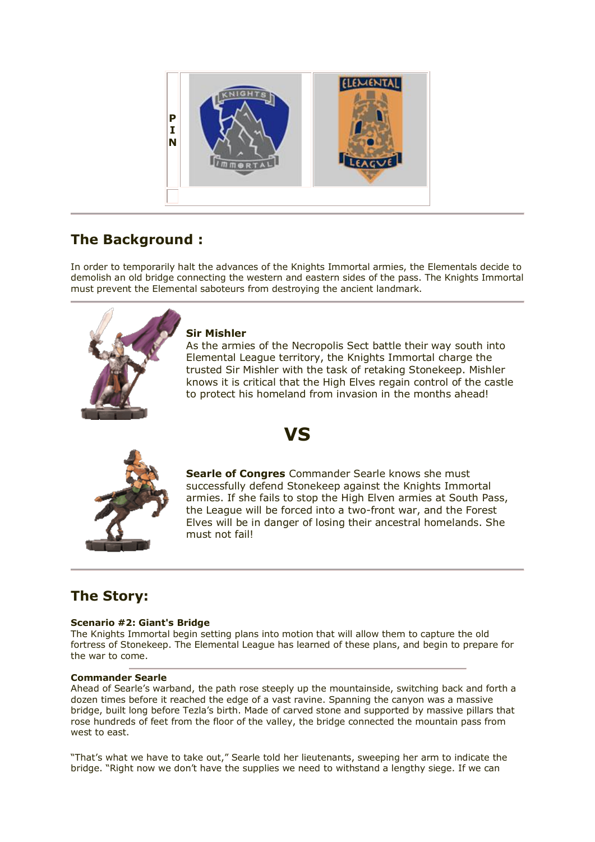

# **The Background :**

In order to temporarily halt the advances of the Knights Immortal armies, the Elementals decide to demolish an old bridge connecting the western and eastern sides of the pass. The Knights Immortal must prevent the Elemental saboteurs from destroying the ancient landmark.

**VS**



## **Sir Mishler**

must not fail!

As the armies of the Necropolis Sect battle their way south into Elemental League territory, the Knights Immortal charge the trusted Sir Mishler with the task of retaking Stonekeep. Mishler knows it is critical that the High Elves regain control of the castle to protect his homeland from invasion in the months ahead!



**Searle of Congres** Commander Searle knows she must successfully defend Stonekeep against the Knights Immortal armies. If she fails to stop the High Elven armies at South Pass, the League will be forced into a two-front war, and the Forest

Elves will be in danger of losing their ancestral homelands. She

# **The Story:**

## **Scenario #2: Giant's Bridge**

The Knights Immortal begin setting plans into motion that will allow them to capture the old fortress of Stonekeep. The Elemental League has learned of these plans, and begin to prepare for the war to come.

## **Commander Searle**

Ahead of Searle's warband, the path rose steeply up the mountainside, switching back and forth a dozen times before it reached the edge of a vast ravine. Spanning the canyon was a massive bridge, built long before Tezla's birth. Made of carved stone and supported by massive pillars that rose hundreds of feet from the floor of the valley, the bridge connected the mountain pass from west to east.

"That's what we have to take out," Searle told her lieutenants, sweeping her arm to indicate the bridge. "Right now we don't have the supplies we need to withstand a lengthy siege. If we can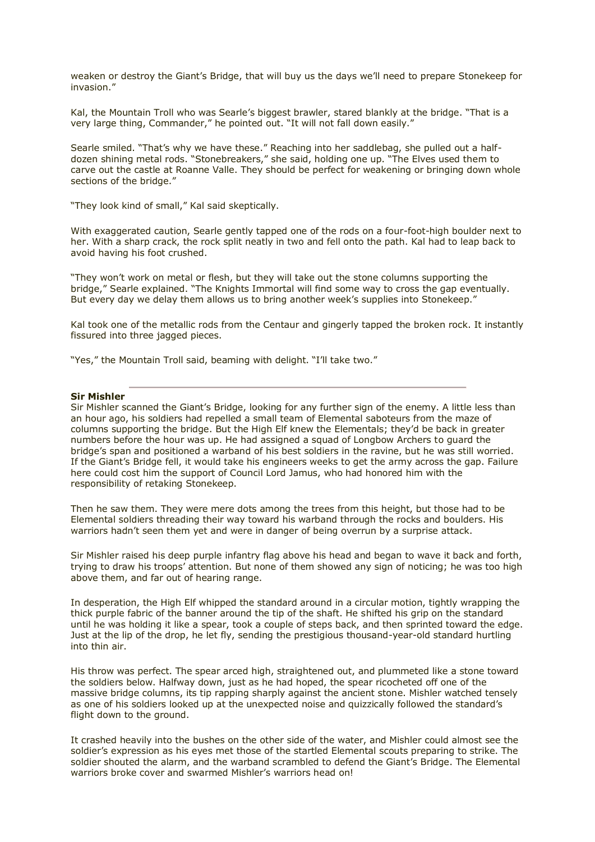weaken or destroy the Giant's Bridge, that will buy us the days we'll need to prepare Stonekeep for invasion."

Kal, the Mountain Troll who was Searle's biggest brawler, stared blankly at the bridge. "That is a very large thing, Commander," he pointed out. "It will not fall down easily."

Searle smiled. "That's why we have these." Reaching into her saddlebag, she pulled out a halfdozen shining metal rods. "Stonebreakers," she said, holding one up. "The Elves used them to carve out the castle at Roanne Valle. They should be perfect for weakening or bringing down whole sections of the bridge."

"They look kind of small," Kal said skeptically.

With exaggerated caution, Searle gently tapped one of the rods on a four-foot-high boulder next to her. With a sharp crack, the rock split neatly in two and fell onto the path. Kal had to leap back to avoid having his foot crushed.

"They won't work on metal or flesh, but they will take out the stone columns supporting the bridge," Searle explained. "The Knights Immortal will find some way to cross the gap eventually. But every day we delay them allows us to bring another week's supplies into Stonekeep."

Kal took one of the metallic rods from the Centaur and gingerly tapped the broken rock. It instantly fissured into three jagged pieces.

"Yes," the Mountain Troll said, beaming with delight. "I'll take two."

#### **Sir Mishler**

Sir Mishler scanned the Giant's Bridge, looking for any further sign of the enemy. A little less than an hour ago, his soldiers had repelled a small team of Elemental saboteurs from the maze of columns supporting the bridge. But the High Elf knew the Elementals; they'd be back in greater numbers before the hour was up. He had assigned a squad of Longbow Archers to guard the bridge's span and positioned a warband of his best soldiers in the ravine, but he was still worried. If the Giant's Bridge fell, it would take his engineers weeks to get the army across the gap. Failure here could cost him the support of Council Lord Jamus, who had honored him with the responsibility of retaking Stonekeep.

Then he saw them. They were mere dots among the trees from this height, but those had to be Elemental soldiers threading their way toward his warband through the rocks and boulders. His warriors hadn't seen them yet and were in danger of being overrun by a surprise attack.

Sir Mishler raised his deep purple infantry flag above his head and began to wave it back and forth, trying to draw his troops' attention. But none of them showed any sign of noticing; he was too high above them, and far out of hearing range.

In desperation, the High Elf whipped the standard around in a circular motion, tightly wrapping the thick purple fabric of the banner around the tip of the shaft. He shifted his grip on the standard until he was holding it like a spear, took a couple of steps back, and then sprinted toward the edge. Just at the lip of the drop, he let fly, sending the prestigious thousand-year-old standard hurtling into thin air.

His throw was perfect. The spear arced high, straightened out, and plummeted like a stone toward the soldiers below. Halfway down, just as he had hoped, the spear ricocheted off one of the massive bridge columns, its tip rapping sharply against the ancient stone. Mishler watched tensely as one of his soldiers looked up at the unexpected noise and quizzically followed the standard's flight down to the ground.

It crashed heavily into the bushes on the other side of the water, and Mishler could almost see the soldier's expression as his eyes met those of the startled Elemental scouts preparing to strike. The soldier shouted the alarm, and the warband scrambled to defend the Giant's Bridge. The Elemental warriors broke cover and swarmed Mishler's warriors head on!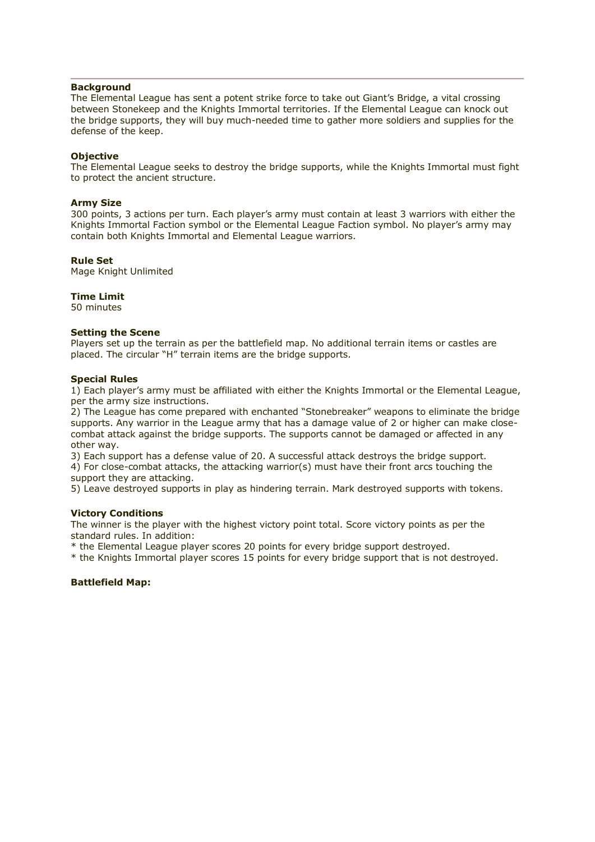#### **Background**

The Elemental League has sent a potent strike force to take out Giant's Bridge, a vital crossing between Stonekeep and the Knights Immortal territories. If the Elemental League can knock out the bridge supports, they will buy much-needed time to gather more soldiers and supplies for the defense of the keep.

#### **Objective**

The Elemental League seeks to destroy the bridge supports, while the Knights Immortal must fight to protect the ancient structure.

#### **Army Size**

300 points, 3 actions per turn. Each player's army must contain at least 3 warriors with either the Knights Immortal Faction symbol or the Elemental League Faction symbol. No player's army may contain both Knights Immortal and Elemental League warriors.

#### **Rule Set**

Mage Knight Unlimited

#### **Time Limit**

50 minutes

#### **Setting the Scene**

Players set up the terrain as per the battlefield map. No additional terrain items or castles are placed. The circular "H" terrain items are the bridge supports.

#### **Special Rules**

1) Each player's army must be affiliated with either the Knights Immortal or the Elemental League, per the army size instructions.

2) The League has come prepared with enchanted "Stonebreaker" weapons to eliminate the bridge supports. Any warrior in the League army that has a damage value of 2 or higher can make closecombat attack against the bridge supports. The supports cannot be damaged or affected in any other way.

3) Each support has a defense value of 20. A successful attack destroys the bridge support.

4) For close-combat attacks, the attacking warrior(s) must have their front arcs touching the support they are attacking.

5) Leave destroyed supports in play as hindering terrain. Mark destroyed supports with tokens.

#### **Victory Conditions**

The winner is the player with the highest victory point total. Score victory points as per the standard rules. In addition:

\* the Elemental League player scores 20 points for every bridge support destroyed.

\* the Knights Immortal player scores 15 points for every bridge support that is not destroyed.

#### **Battlefield Map:**